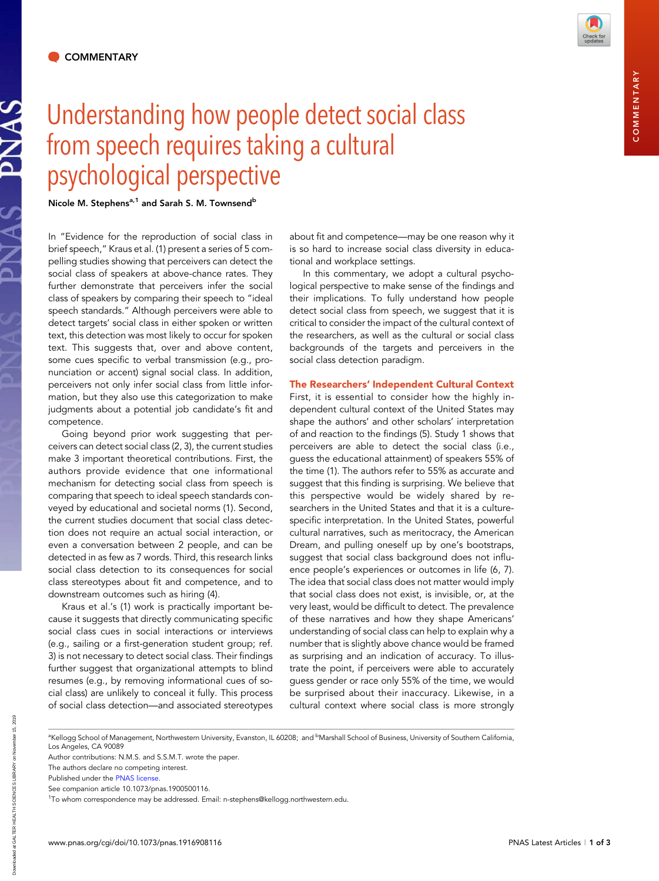SANG

## Understanding how people detect social class from speech requires taking a cultural psychological perspective

Nicole M. Stephens<sup>a,1</sup> and Sarah S. M. Townsend<sup>b</sup>

In "Evidence for the reproduction of social class in brief speech," Kraus et al. (1) present a series of 5 compelling studies showing that perceivers can detect the social class of speakers at above-chance rates. They further demonstrate that perceivers infer the social class of speakers by comparing their speech to "ideal speech standards." Although perceivers were able to detect targets' social class in either spoken or written text, this detection was most likely to occur for spoken text. This suggests that, over and above content, some cues specific to verbal transmission (e.g., pronunciation or accent) signal social class. In addition, perceivers not only infer social class from little information, but they also use this categorization to make judgments about a potential job candidate's fit and competence.

Going beyond prior work suggesting that perceivers can detect social class (2, 3), the current studies make 3 important theoretical contributions. First, the authors provide evidence that one informational mechanism for detecting social class from speech is comparing that speech to ideal speech standards conveyed by educational and societal norms (1). Second, the current studies document that social class detection does not require an actual social interaction, or even a conversation between 2 people, and can be detected in as few as 7 words. Third, this research links social class detection to its consequences for social class stereotypes about fit and competence, and to downstream outcomes such as hiring (4).

Kraus et al.'s (1) work is practically important because it suggests that directly communicating specific social class cues in social interactions or interviews (e.g., sailing or a first-generation student group; ref. 3) is not necessary to detect social class. Their findings further suggest that organizational attempts to blind resumes (e.g., by removing informational cues of social class) are unlikely to conceal it fully. This process of social class detection—and associated stereotypes about fit and competence—may be one reason why it is so hard to increase social class diversity in educational and workplace settings.

In this commentary, we adopt a cultural psychological perspective to make sense of the findings and their implications. To fully understand how people detect social class from speech, we suggest that it is critical to consider the impact of the cultural context of the researchers, as well as the cultural or social class backgrounds of the targets and perceivers in the social class detection paradigm.

## The Researchers' Independent Cultural Context

First, it is essential to consider how the highly independent cultural context of the United States may shape the authors' and other scholars' interpretation of and reaction to the findings (5). Study 1 shows that perceivers are able to detect the social class (i.e., guess the educational attainment) of speakers 55% of the time (1). The authors refer to 55% as accurate and suggest that this finding is surprising. We believe that this perspective would be widely shared by researchers in the United States and that it is a culturespecific interpretation. In the United States, powerful cultural narratives, such as meritocracy, the American Dream, and pulling oneself up by one's bootstraps, suggest that social class background does not influence people's experiences or outcomes in life (6, 7). The idea that social class does not matter would imply that social class does not exist, is invisible, or, at the very least, would be difficult to detect. The prevalence of these narratives and how they shape Americans' understanding of social class can help to explain why a number that is slightly above chance would be framed as surprising and an indication of accuracy. To illustrate the point, if perceivers were able to accurately guess gender or race only 55% of the time, we would be surprised about their inaccuracy. Likewise, in a cultural context where social class is more strongly

Downloaded at GALTER HEALTH SCIENCES LIBRARY on November 15, 2019

Downloaded at GALTER HEALTH SCIENCES LIBRARY on November 15, 201

<sup>&</sup>lt;sup>a</sup>Kellogg School of Management, Northwestern University, Evanston, IL 60208; and <sup>b</sup>Marshall School of Business, University of Southern California, Los Angeles, CA 90089

Author contributions: N.M.S. and S.S.M.T. wrote the paper.

The authors declare no competing interest.

Published under the [PNAS license.](https://www.pnas.org/site/aboutpnas/licenses.xhtml)

See companion article 10.1073/pnas.1900500116.

<sup>&</sup>lt;sup>1</sup>To whom correspondence may be addressed. Email: n-stephens@kellogg.northwestem.edu.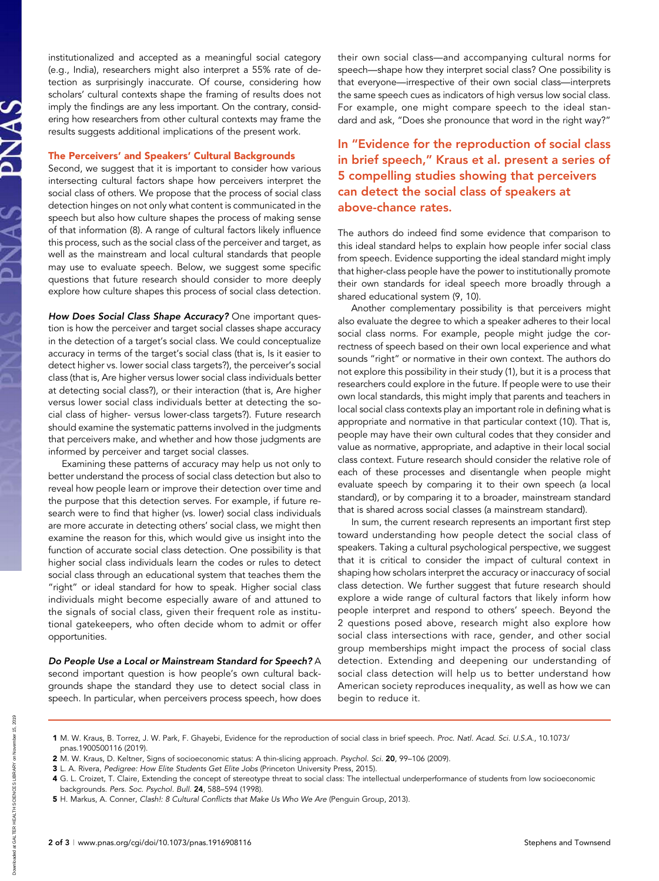institutionalized and accepted as a meaningful social category (e.g., India), researchers might also interpret a 55% rate of detection as surprisingly inaccurate. Of course, considering how scholars' cultural contexts shape the framing of results does not imply the findings are any less important. On the contrary, considering how researchers from other cultural contexts may frame the results suggests additional implications of the present work.

## The Perceivers' and Speakers' Cultural Backgrounds

Second, we suggest that it is important to consider how various intersecting cultural factors shape how perceivers interpret the social class of others. We propose that the process of social class detection hinges on not only what content is communicated in the speech but also how culture shapes the process of making sense of that information (8). A range of cultural factors likely influence this process, such as the social class of the perceiver and target, as well as the mainstream and local cultural standards that people may use to evaluate speech. Below, we suggest some specific questions that future research should consider to more deeply explore how culture shapes this process of social class detection.

How Does Social Class Shape Accuracy? One important question is how the perceiver and target social classes shape accuracy in the detection of a target's social class. We could conceptualize accuracy in terms of the target's social class (that is, Is it easier to detect higher vs. lower social class targets?), the perceiver's social class (that is, Are higher versus lower social class individuals better at detecting social class?), or their interaction (that is, Are higher versus lower social class individuals better at detecting the social class of higher- versus lower-class targets?). Future research should examine the systematic patterns involved in the judgments that perceivers make, and whether and how those judgments are informed by perceiver and target social classes.

Examining these patterns of accuracy may help us not only to better understand the process of social class detection but also to reveal how people learn or improve their detection over time and the purpose that this detection serves. For example, if future research were to find that higher (vs. lower) social class individuals are more accurate in detecting others' social class, we might then examine the reason for this, which would give us insight into the function of accurate social class detection. One possibility is that higher social class individuals learn the codes or rules to detect social class through an educational system that teaches them the "right" or ideal standard for how to speak. Higher social class individuals might become especially aware of and attuned to the signals of social class, given their frequent role as institutional gatekeepers, who often decide whom to admit or offer opportunities.

Do People Use a Local or Mainstream Standard for Speech? A second important question is how people's own cultural backgrounds shape the standard they use to detect social class in speech. In particular, when perceivers process speech, how does their own social class—and accompanying cultural norms for speech—shape how they interpret social class? One possibility is that everyone—irrespective of their own social class—interprets the same speech cues as indicators of high versus low social class. For example, one might compare speech to the ideal standard and ask, "Does she pronounce that word in the right way?"

## In "Evidence for the reproduction of social class in brief speech," Kraus et al. present a series of 5 compelling studies showing that perceivers can detect the social class of speakers at above-chance rates.

The authors do indeed find some evidence that comparison to this ideal standard helps to explain how people infer social class from speech. Evidence supporting the ideal standard might imply that higher-class people have the power to institutionally promote their own standards for ideal speech more broadly through a shared educational system (9, 10).

Another complementary possibility is that perceivers might also evaluate the degree to which a speaker adheres to their local social class norms. For example, people might judge the correctness of speech based on their own local experience and what sounds "right" or normative in their own context. The authors do not explore this possibility in their study (1), but it is a process that researchers could explore in the future. If people were to use their own local standards, this might imply that parents and teachers in local social class contexts play an important role in defining what is appropriate and normative in that particular context (10). That is, people may have their own cultural codes that they consider and value as normative, appropriate, and adaptive in their local social class context. Future research should consider the relative role of each of these processes and disentangle when people might evaluate speech by comparing it to their own speech (a local standard), or by comparing it to a broader, mainstream standard that is shared across social classes (a mainstream standard).

In sum, the current research represents an important first step toward understanding how people detect the social class of speakers. Taking a cultural psychological perspective, we suggest that it is critical to consider the impact of cultural context in shaping how scholars interpret the accuracy or inaccuracy of social class detection. We further suggest that future research should explore a wide range of cultural factors that likely inform how people interpret and respond to others' speech. Beyond the 2 questions posed above, research might also explore how social class intersections with race, gender, and other social group memberships might impact the process of social class detection. Extending and deepening our understanding of social class detection will help us to better understand how American society reproduces inequality, as well as how we can begin to reduce it.

5 H. Markus, A. Conner, Clash!: 8 Cultural Conflicts that Make Us Who We Are (Penguin Group, 2013).

<sup>1</sup> M. W. Kraus, B. Torrez, J. W. Park, F. Ghayebi, Evidence for the reproduction of social class in brief speech. Proc. Natl. Acad. Sci. U.S.A., 10.1073/ pnas.1900500116 (2019).

<sup>2</sup> M. W. Kraus, D. Keltner, Signs of socioeconomic status: A thin-slicing approach. Psychol. Sci. 20, 99–106 (2009).

<sup>3</sup> L. A. Rivera, Pedigree: How Elite Students Get Elite Jobs (Princeton University Press, 2015).

<sup>4</sup> G. L. Croizet, T. Claire, Extending the concept of stereotype threat to social class: The intellectual underperformance of students from low socioeconomic backgrounds. Pers. Soc. Psychol. Bull. 24, 588–594 (1998).